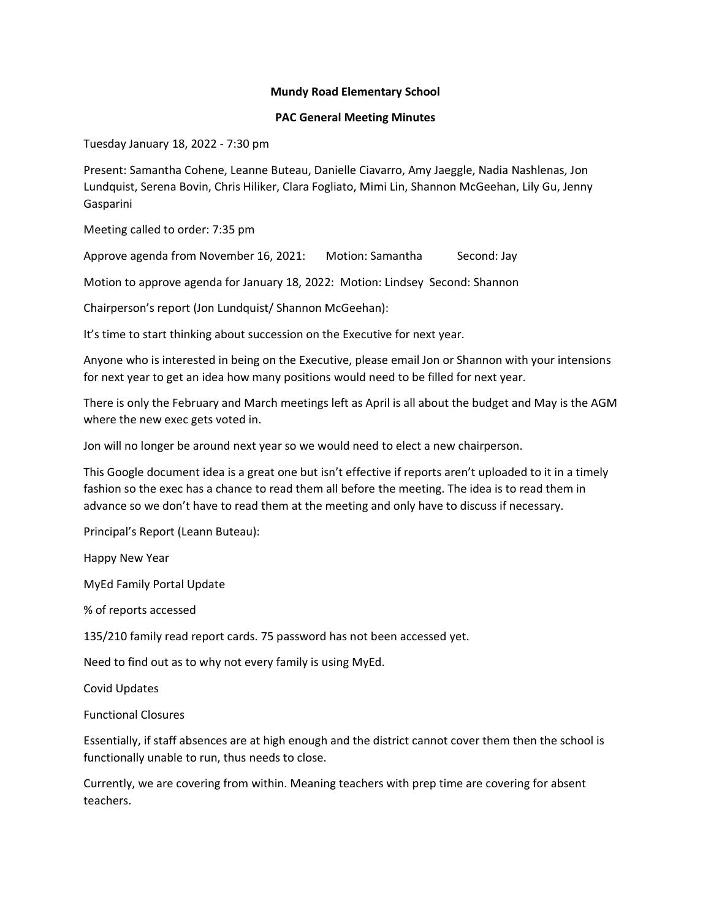## **Mundy Road Elementary School**

## **PAC General Meeting Minutes**

Tuesday January 18, 2022 - 7:30 pm

Present: Samantha Cohene, Leanne Buteau, Danielle Ciavarro, Amy Jaeggle, Nadia Nashlenas, Jon Lundquist, Serena Bovin, Chris Hiliker, Clara Fogliato, Mimi Lin, Shannon McGeehan, Lily Gu, Jenny Gasparini

Meeting called to order: 7:35 pm

Approve agenda from November 16, 2021: Motion: Samantha Second: Jay

Motion to approve agenda for January 18, 2022: Motion: Lindsey Second: Shannon

Chairperson's report (Jon Lundquist/ Shannon McGeehan):

It's time to start thinking about succession on the Executive for next year.

Anyone who is interested in being on the Executive, please email Jon or Shannon with your intensions for next year to get an idea how many positions would need to be filled for next year.

There is only the February and March meetings left as April is all about the budget and May is the AGM where the new exec gets voted in.

Jon will no longer be around next year so we would need to elect a new chairperson.

This Google document idea is a great one but isn't effective if reports aren't uploaded to it in a timely fashion so the exec has a chance to read them all before the meeting. The idea is to read them in advance so we don't have to read them at the meeting and only have to discuss if necessary.

Principal's Report (Leann Buteau):

Happy New Year

MyEd Family Portal Update

% of reports accessed

135/210 family read report cards. 75 password has not been accessed yet.

Need to find out as to why not every family is using MyEd.

Covid Updates

Functional Closures

Essentially, if staff absences are at high enough and the district cannot cover them then the school is functionally unable to run, thus needs to close.

Currently, we are covering from within. Meaning teachers with prep time are covering for absent teachers.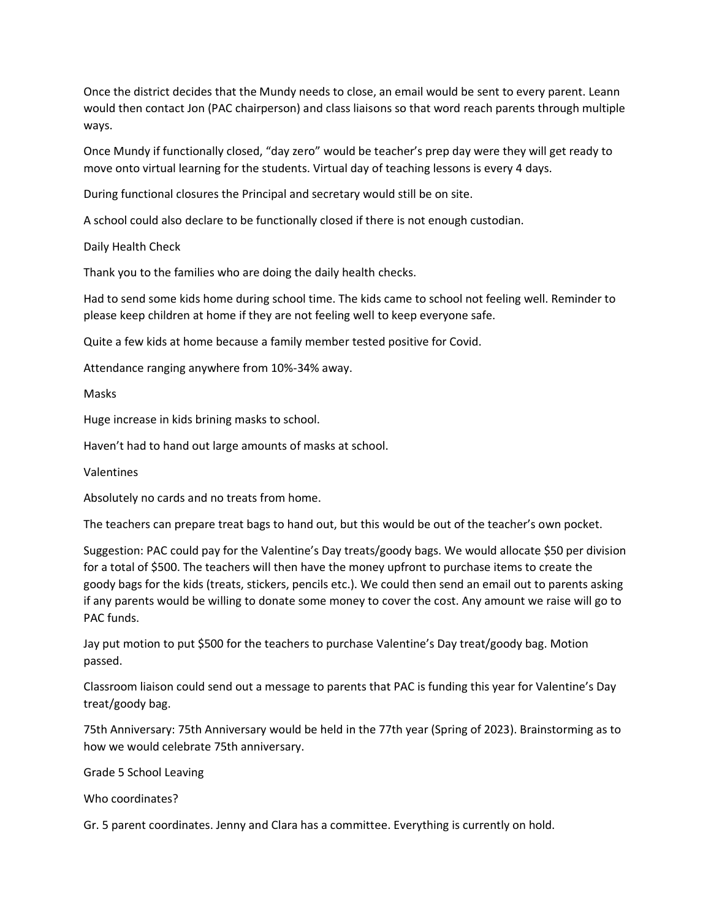Once the district decides that the Mundy needs to close, an email would be sent to every parent. Leann would then contact Jon (PAC chairperson) and class liaisons so that word reach parents through multiple ways.

Once Mundy if functionally closed, "day zero" would be teacher's prep day were they will get ready to move onto virtual learning for the students. Virtual day of teaching lessons is every 4 days.

During functional closures the Principal and secretary would still be on site.

A school could also declare to be functionally closed if there is not enough custodian.

Daily Health Check

Thank you to the families who are doing the daily health checks.

Had to send some kids home during school time. The kids came to school not feeling well. Reminder to please keep children at home if they are not feeling well to keep everyone safe.

Quite a few kids at home because a family member tested positive for Covid.

Attendance ranging anywhere from 10%-34% away.

Masks

Huge increase in kids brining masks to school.

Haven't had to hand out large amounts of masks at school.

Valentines

Absolutely no cards and no treats from home.

The teachers can prepare treat bags to hand out, but this would be out of the teacher's own pocket.

Suggestion: PAC could pay for the Valentine's Day treats/goody bags. We would allocate \$50 per division for a total of \$500. The teachers will then have the money upfront to purchase items to create the goody bags for the kids (treats, stickers, pencils etc.). We could then send an email out to parents asking if any parents would be willing to donate some money to cover the cost. Any amount we raise will go to PAC funds.

Jay put motion to put \$500 for the teachers to purchase Valentine's Day treat/goody bag. Motion passed.

Classroom liaison could send out a message to parents that PAC is funding this year for Valentine's Day treat/goody bag.

75th Anniversary: 75th Anniversary would be held in the 77th year (Spring of 2023). Brainstorming as to how we would celebrate 75th anniversary.

Grade 5 School Leaving

Who coordinates?

Gr. 5 parent coordinates. Jenny and Clara has a committee. Everything is currently on hold.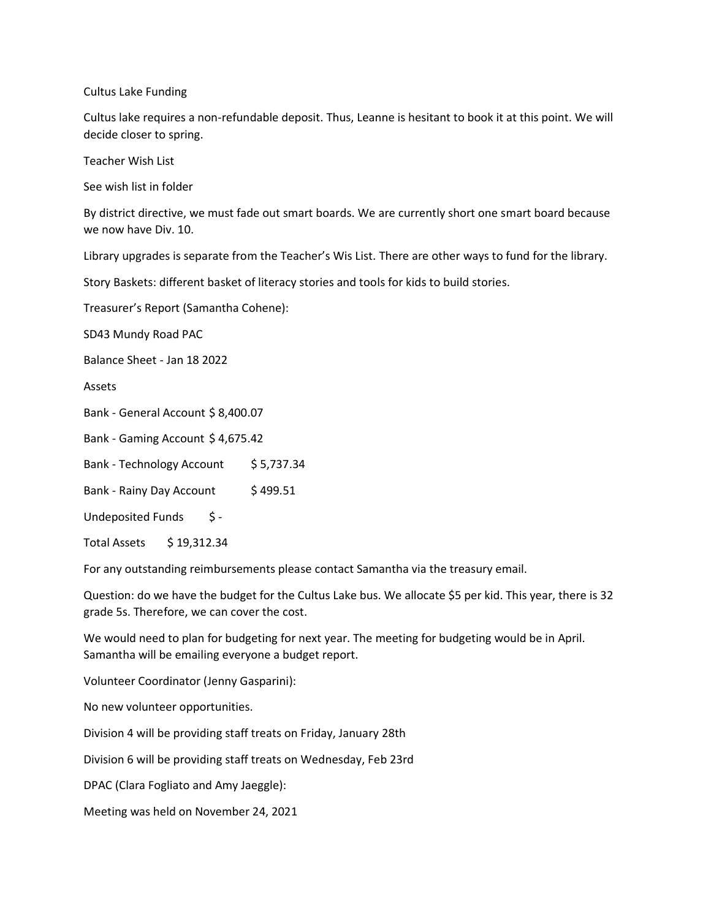Cultus Lake Funding

Cultus lake requires a non-refundable deposit. Thus, Leanne is hesitant to book it at this point. We will decide closer to spring.

Teacher Wish List

See wish list in folder

By district directive, we must fade out smart boards. We are currently short one smart board because we now have Div. 10.

Library upgrades is separate from the Teacher's Wis List. There are other ways to fund for the library.

Story Baskets: different basket of literacy stories and tools for kids to build stories.

Treasurer's Report (Samantha Cohene):

SD43 Mundy Road PAC

Balance Sheet - Jan 18 2022

Assets

Bank - General Account \$ 8,400.07

Bank - Gaming Account \$ 4,675.42

Bank - Technology Account \$ 5,737.34

Bank - Rainy Day Account \$499.51

Undeposited Funds \$-

Total Assets \$19,312.34

For any outstanding reimbursements please contact Samantha via the treasury email.

Question: do we have the budget for the Cultus Lake bus. We allocate \$5 per kid. This year, there is 32 grade 5s. Therefore, we can cover the cost.

We would need to plan for budgeting for next year. The meeting for budgeting would be in April. Samantha will be emailing everyone a budget report.

Volunteer Coordinator (Jenny Gasparini):

No new volunteer opportunities.

Division 4 will be providing staff treats on Friday, January 28th

Division 6 will be providing staff treats on Wednesday, Feb 23rd

DPAC (Clara Fogliato and Amy Jaeggle):

Meeting was held on November 24, 2021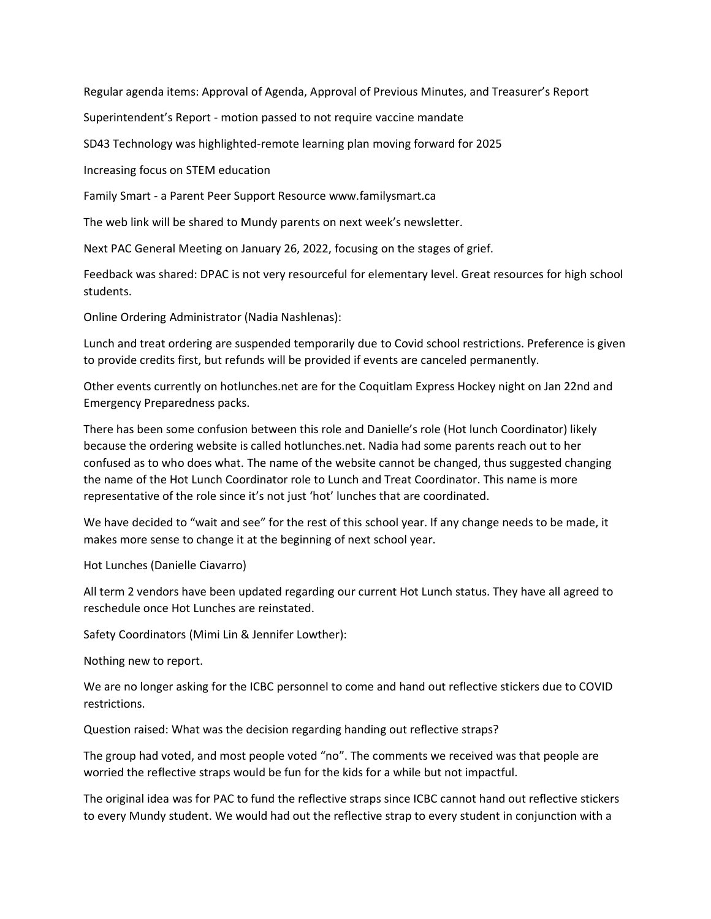Regular agenda items: Approval of Agenda, Approval of Previous Minutes, and Treasurer's Report

Superintendent's Report - motion passed to not require vaccine mandate

SD43 Technology was highlighted-remote learning plan moving forward for 2025

Increasing focus on STEM education

Family Smart - a Parent Peer Support Resource www.familysmart.ca

The web link will be shared to Mundy parents on next week's newsletter.

Next PAC General Meeting on January 26, 2022, focusing on the stages of grief.

Feedback was shared: DPAC is not very resourceful for elementary level. Great resources for high school students.

Online Ordering Administrator (Nadia Nashlenas):

Lunch and treat ordering are suspended temporarily due to Covid school restrictions. Preference is given to provide credits first, but refunds will be provided if events are canceled permanently.

Other events currently on hotlunches.net are for the Coquitlam Express Hockey night on Jan 22nd and Emergency Preparedness packs.

There has been some confusion between this role and Danielle's role (Hot lunch Coordinator) likely because the ordering website is called hotlunches.net. Nadia had some parents reach out to her confused as to who does what. The name of the website cannot be changed, thus suggested changing the name of the Hot Lunch Coordinator role to Lunch and Treat Coordinator. This name is more representative of the role since it's not just 'hot' lunches that are coordinated.

We have decided to "wait and see" for the rest of this school year. If any change needs to be made, it makes more sense to change it at the beginning of next school year.

Hot Lunches (Danielle Ciavarro)

All term 2 vendors have been updated regarding our current Hot Lunch status. They have all agreed to reschedule once Hot Lunches are reinstated.

Safety Coordinators (Mimi Lin & Jennifer Lowther):

Nothing new to report.

We are no longer asking for the ICBC personnel to come and hand out reflective stickers due to COVID restrictions.

Question raised: What was the decision regarding handing out reflective straps?

The group had voted, and most people voted "no". The comments we received was that people are worried the reflective straps would be fun for the kids for a while but not impactful.

The original idea was for PAC to fund the reflective straps since ICBC cannot hand out reflective stickers to every Mundy student. We would had out the reflective strap to every student in conjunction with a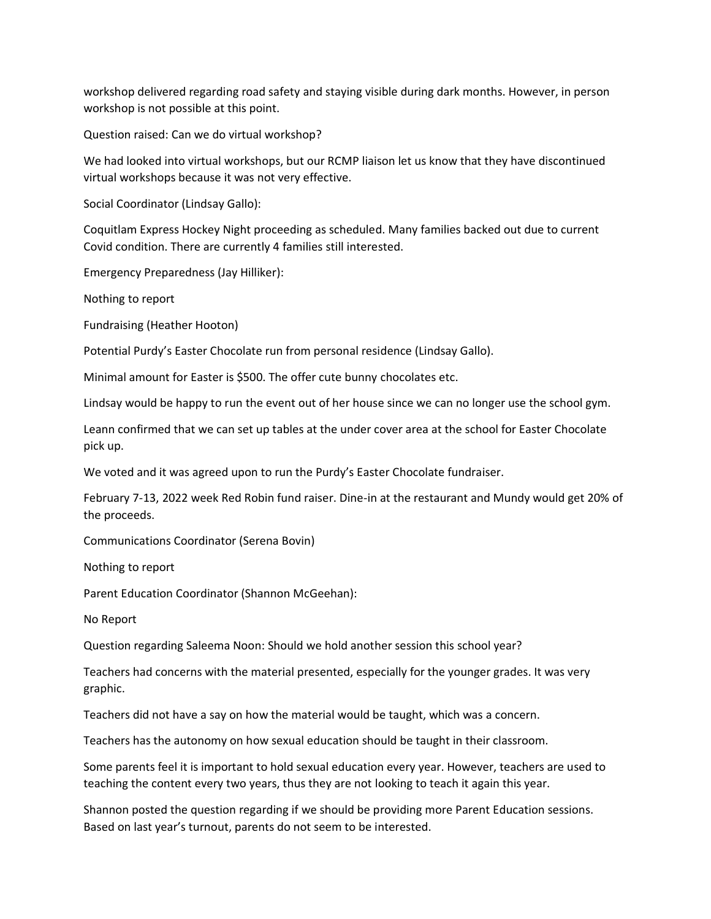workshop delivered regarding road safety and staying visible during dark months. However, in person workshop is not possible at this point.

Question raised: Can we do virtual workshop?

We had looked into virtual workshops, but our RCMP liaison let us know that they have discontinued virtual workshops because it was not very effective.

Social Coordinator (Lindsay Gallo):

Coquitlam Express Hockey Night proceeding as scheduled. Many families backed out due to current Covid condition. There are currently 4 families still interested.

Emergency Preparedness (Jay Hilliker):

Nothing to report

Fundraising (Heather Hooton)

Potential Purdy's Easter Chocolate run from personal residence (Lindsay Gallo).

Minimal amount for Easter is \$500. The offer cute bunny chocolates etc.

Lindsay would be happy to run the event out of her house since we can no longer use the school gym.

Leann confirmed that we can set up tables at the under cover area at the school for Easter Chocolate pick up.

We voted and it was agreed upon to run the Purdy's Easter Chocolate fundraiser.

February 7-13, 2022 week Red Robin fund raiser. Dine-in at the restaurant and Mundy would get 20% of the proceeds.

Communications Coordinator (Serena Bovin)

Nothing to report

Parent Education Coordinator (Shannon McGeehan):

No Report

Question regarding Saleema Noon: Should we hold another session this school year?

Teachers had concerns with the material presented, especially for the younger grades. It was very graphic.

Teachers did not have a say on how the material would be taught, which was a concern.

Teachers has the autonomy on how sexual education should be taught in their classroom.

Some parents feel it is important to hold sexual education every year. However, teachers are used to teaching the content every two years, thus they are not looking to teach it again this year.

Shannon posted the question regarding if we should be providing more Parent Education sessions. Based on last year's turnout, parents do not seem to be interested.